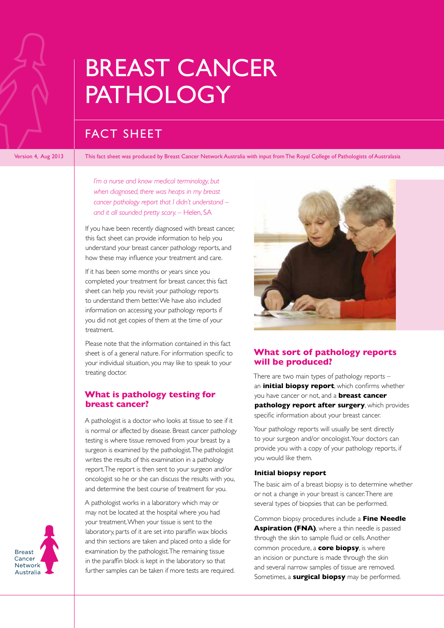# FACT SHEET

Version 4, Aug 2013 This fact sheet was produced by Breast Cancer Network Australia with input from The Royal College of Pathologists of Australasia

*I'm a nurse and know medical terminology, but when diagnosed, there was heaps in my breast cancer pathology report that I didn't understand – and it all sounded pretty scary. –* Helen, SA

If you have been recently diagnosed with breast cancer, this fact sheet can provide information to help you understand your breast cancer pathology reports, and how these may influence your treatment and care.

If it has been some months or years since you completed your treatment for breast cancer, this fact sheet can help you revisit your pathology reports to understand them better. We have also included information on accessing your pathology reports if you did not get copies of them at the time of your treatment.

Please note that the information contained in this fact sheet is of a general nature. For information specific to your individual situation, you may like to speak to your treating doctor.

### **What is pathology testing for breast cancer?**

A pathologist is a doctor who looks at tissue to see if it is normal or affected by disease. Breast cancer pathology testing is where tissue removed from your breast by a surgeon is examined by the pathologist. The pathologist writes the results of this examination in a pathology report. The report is then sent to your surgeon and/or oncologist so he or she can discuss the results with you, and determine the best course of treatment for you.

A pathologist works in a laboratory which may or may not be located at the hospital where you had your treatment. When your tissue is sent to the laboratory, parts of it are set into paraffin wax blocks and thin sections are taken and placed onto a slide for examination by the pathologist. The remaining tissue in the paraffin block is kept in the laboratory so that further samples can be taken if more tests are required.



### **What sort of pathology reports will be produced?**

There are two main types of pathology reports – an **initial biopsy report**, which confirms whether you have cancer or not, and a **breast cancer pathology report after surgery**, which provides specific information about your breast cancer.

Your pathology reports will usually be sent directly to your surgeon and/or oncologist. Your doctors can provide you with a copy of your pathology reports, if you would like them.

#### **Initial biopsy report**

The basic aim of a breast biopsy is to determine whether or not a change in your breast is cancer. There are several types of biopsies that can be performed.

Common biopsy procedures include a **Fine Needle**  Aspiration (FNA), where a thin needle is passed through the skin to sample fluid or cells. Another common procedure, a **core biopsy**, is where an incision or puncture is made through the skin and several narrow samples of tissue are removed. Sometimes, a **surgical biopsy** may be performed.

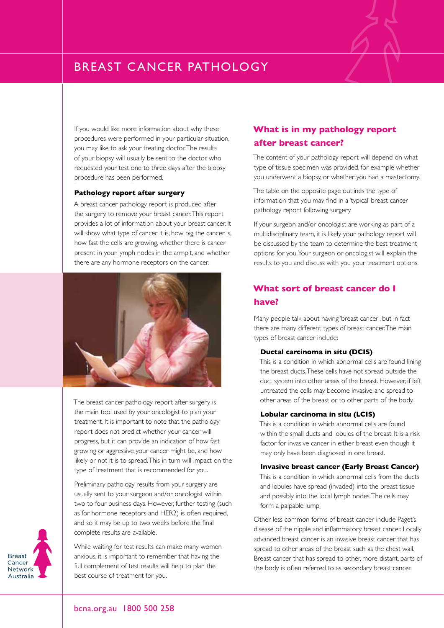If you would like more information about why these procedures were performed in your particular situation, you may like to ask your treating doctor. The results of your biopsy will usually be sent to the doctor who requested your test one to three days after the biopsy procedure has been performed.

#### **Pathology report after surgery**

A breast cancer pathology report is produced after the surgery to remove your breast cancer. This report provides a lot of information about your breast cancer. It will show what type of cancer it is, how big the cancer is, how fast the cells are growing, whether there is cancer present in your lymph nodes in the armpit, and whether there are any hormone receptors on the cancer.



The breast cancer pathology report after surgery is the main tool used by your oncologist to plan your treatment. It is important to note that the pathology report does not predict whether your cancer will progress, but it can provide an indication of how fast growing or aggressive your cancer might be, and how likely or not it is to spread. This in turn will impact on the type of treatment that is recommended for you.

Preliminary pathology results from your surgery are usually sent to your surgeon and/or oncologist within two to four business days. However, further testing (such as for hormone receptors and HER2) is often required, and so it may be up to two weeks before the final complete results are available.



While waiting for test results can make many women anxious, it is important to remember that having the full complement of test results will help to plan the best course of treatment for you.

### **What is in my pathology report after breast cancer?**

The content of your pathology report will depend on what type of tissue specimen was provided, for example whether you underwent a biopsy, or whether you had a mastectomy.

The table on the opposite page outlines the type of information that you may find in a 'typical' breast cancer pathology report following surgery.

If your surgeon and/or oncologist are working as part of a multidisciplinary team, it is likely your pathology report will be discussed by the team to determine the best treatment options for you. Your surgeon or oncologist will explain the results to you and discuss with you your treatment options.

# **What sort of breast cancer do I have?**

Many people talk about having 'breast cancer', but in fact there are many different types of breast cancer. The main types of breast cancer include:

#### **Ductal carcinoma in situ (DCIS)**

This is a condition in which abnormal cells are found lining the breast ducts. These cells have not spread outside the duct system into other areas of the breast. However, if left untreated the cells may become invasive and spread to other areas of the breast or to other parts of the body.

#### **Lobular carcinoma in situ (LCIS)**

This is a condition in which abnormal cells are found within the small ducts and lobules of the breast. It is a risk factor for invasive cancer in either breast even though it may only have been diagnosed in one breast.

#### **Invasive breast cancer (Early Breast Cancer)**

This is a condition in which abnormal cells from the ducts and lobules have spread (invaded) into the breast tissue and possibly into the local lymph nodes. The cells may form a palpable lump.

Other less common forms of breast cancer include Paget's disease of the nipple and inflammatory breast cancer. Locally advanced breast cancer is an invasive breast cancer that has spread to other areas of the breast such as the chest wall. Breast cancer that has spread to other, more distant, parts of the body is often referred to as secondary breast cancer.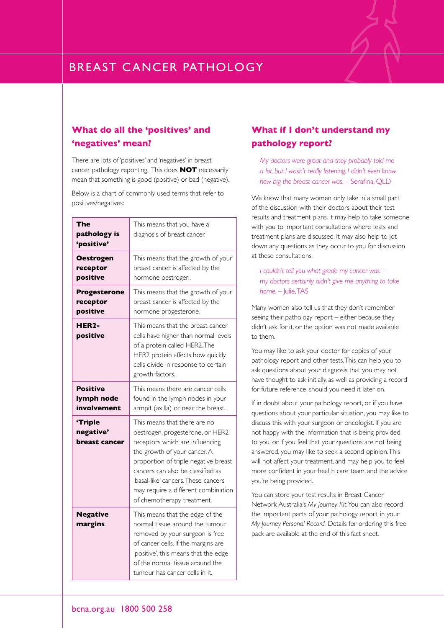# **EXPLAST CANCER PATHOLOGY**

### **What do all the 'positives' and 'negatives' mean?**

There are lots of 'positives' and 'negatives' in breast cancer pathology reporting. This does **NOT** necessarily mean that something is good (positive) or bad (negative).

Below is a chart of commonly used terms that refer to positives/negatives:

| The<br>pathology is<br>'positive'            | This means that you have a<br>diagnosis of breast cancer.                                                                                                                                                                                                                                                                    |
|----------------------------------------------|------------------------------------------------------------------------------------------------------------------------------------------------------------------------------------------------------------------------------------------------------------------------------------------------------------------------------|
| <b>Oestrogen</b><br>receptor<br>positive     | This means that the growth of your<br>breast cancer is affected by the<br>hormone oestrogen.                                                                                                                                                                                                                                 |
| <b>Progesterone</b><br>receptor<br>positive  | This means that the growth of your<br>breast cancer is affected by the<br>hormone progesterone.                                                                                                                                                                                                                              |
| HER2-<br>positive                            | This means that the breast cancer<br>cells have higher than normal levels<br>of a protein called HER2. The<br>HER2 protein affects how quickly<br>cells divide in response to certain<br>growth factors.                                                                                                                     |
| <b>Positive</b><br>lymph node<br>involvement | This means there are cancer cells<br>found in the lymph nodes in your<br>armpit (axilla) or near the breast.                                                                                                                                                                                                                 |
| 'Triple<br>negative'<br>breast cancer        | This means that there are no<br>oestrogen, progesterone, or HER2<br>receptors which are influencing<br>the growth of your cancer. A<br>proportion of triple negative breast<br>cancers can also be classified as<br>'basal-like' cancers. These cancers<br>may require a different combination<br>of chemotherapy treatment. |
| <b>Negative</b><br>margins                   | This means that the edge of the<br>normal tissue around the tumour<br>removed by your surgeon is free<br>of cancer cells. If the margins are<br>'positive', this means that the edge<br>of the normal tissue around the<br>tumour has cancer cells in it.                                                                    |

## **What if I don't understand my pathology report?**

*My doctors were great and they probably told me a lot, but I wasn't really listening. I didn't even know how big the breast cancer was. –* Serafina, QLD

We know that many women only take in a small part of the discussion with their doctors about their test results and treatment plans. It may help to take someone with you to important consultations where tests and treatment plans are discussed. It may also help to jot down any questions as they occur to you for discussion at these consultations.

*I couldn't tell you what grade my cancer was – my doctors certainly didn't give me anything to take home. –* Julie, TAS

Many women also tell us that they don't remember seeing their pathology report – either because they didn't ask for it, or the option was not made available to them.

You may like to ask your doctor for copies of your pathology report and other tests. This can help you to ask questions about your diagnosis that you may not have thought to ask initially, as well as providing a record for future reference, should you need it later on.

If in doubt about your pathology report, or if you have questions about your particular situation, you may like to discuss this with your surgeon or oncologist. If you are not happy with the information that is being provided to you, or if you feel that your questions are not being answered, you may like to seek a second opinion. This will not affect your treatment, and may help you to feel more confident in your health care team, and the advice you're being provided.

You can store your test results in Breast Cancer Network Australia's *My Journey Kit*. You can also record the important parts of your pathology report in your *My Journey Personal Record.* Details for ordering this free pack are available at the end of this fact sheet.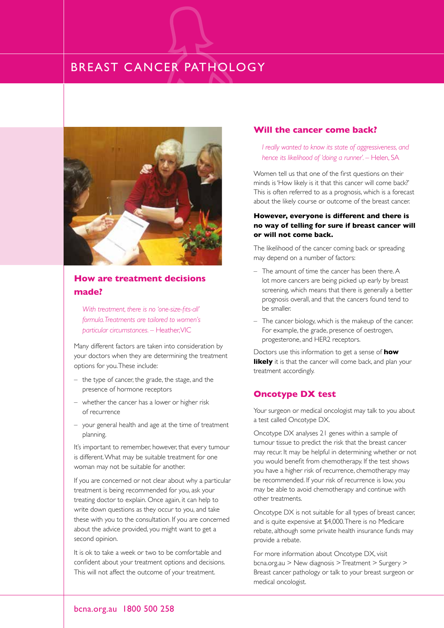

## **How are treatment decisions made?**

*With treatment, there is no 'one-size-fits-all' formula. Treatments are tailored to women's particular circumstances. –* Heather, VIC

Many different factors are taken into consideration by your doctors when they are determining the treatment options for you. These include:

- the type of cancer, the grade, the stage, and the presence of hormone receptors
- whether the cancer has a lower or higher risk of recurrence
- your general health and age at the time of treatment planning.

It's important to remember, however, that every tumour is different. What may be suitable treatment for one woman may not be suitable for another.

If you are concerned or not clear about why a particular treatment is being recommended for you, ask your treating doctor to explain. Once again, it can help to write down questions as they occur to you, and take these with you to the consultation. If you are concerned about the advice provided, you might want to get a second opinion.

It is ok to take a week or two to be comfortable and confident about your treatment options and decisions. This will not affect the outcome of your treatment.

#### **Will the cancer come back?**

*I really wanted to know its state of aggressiveness, and hence its likelihood of 'doing a runner'. –* Helen, SA

Women tell us that one of the first questions on their minds is 'How likely is it that this cancer will come back?' This is often referred to as a prognosis, which is a forecast about the likely course or outcome of the breast cancer.

#### **However, everyone is different and there is no way of telling for sure if breast cancer will or will not come back.**

The likelihood of the cancer coming back or spreading may depend on a number of factors:

- The amount of time the cancer has been there. A lot more cancers are being picked up early by breast screening, which means that there is generally a better prognosis overall, and that the cancers found tend to be smaller.
- The cancer biology, which is the makeup of the cancer. For example, the grade, presence of oestrogen, progesterone, and HER2 receptors.

Doctors use this information to get a sense of **how likely** it is that the cancer will come back, and plan your treatment accordingly.

#### **Oncotype DX test**

Your surgeon or medical oncologist may talk to you about a test called Oncotype DX.

Oncotype DX analyses 21 genes within a sample of tumour tissue to predict the risk that the breast cancer may recur. It may be helpful in determining whether or not you would benefit from chemotherapy. If the test shows you have a higher risk of recurrence, chemotherapy may be recommended. If your risk of recurrence is low, you may be able to avoid chemotherapy and continue with other treatments.

Oncotype DX is not suitable for all types of breast cancer, and is quite expensive at \$4,000. There is no Medicare rebate, although some private health insurance funds may provide a rebate.

For more information about Oncotype DX, visit bcna.org.au > New diagnosis > Treatment > Surgery > Breast cancer pathology or talk to your breast surgeon or medical oncologist.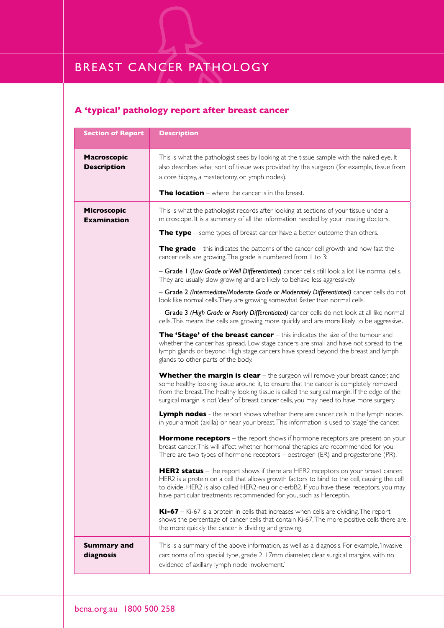# **A 'typical' pathology report after breast cancer**

| <b>Section of Report</b>                 | <b>Description</b>                                                                                                                                                                                                                                                                                                                                                                                                                                                                                                                                                                                                                                                                                                                                                                                                                                                                                                                                                                                                                                                               |
|------------------------------------------|----------------------------------------------------------------------------------------------------------------------------------------------------------------------------------------------------------------------------------------------------------------------------------------------------------------------------------------------------------------------------------------------------------------------------------------------------------------------------------------------------------------------------------------------------------------------------------------------------------------------------------------------------------------------------------------------------------------------------------------------------------------------------------------------------------------------------------------------------------------------------------------------------------------------------------------------------------------------------------------------------------------------------------------------------------------------------------|
| <b>Macroscopic</b><br><b>Description</b> | This is what the pathologist sees by looking at the tissue sample with the naked eye. It<br>also describes what sort of tissue was provided by the surgeon (for example, tissue from<br>a core biopsy, a mastectomy, or lymph nodes).<br><b>The location</b> – where the cancer is in the breast.                                                                                                                                                                                                                                                                                                                                                                                                                                                                                                                                                                                                                                                                                                                                                                                |
| Microscopic<br><b>Examination</b>        | This is what the pathologist records after looking at sections of your tissue under a<br>microscope. It is a summary of all the information needed by your treating doctors.<br><b>The type</b> – some types of breast cancer have a better outcome than others.<br><b>The grade</b> – this indicates the patterns of the cancer cell growth and how fast the<br>cancer cells are growing. The grade is numbered from 1 to 3:<br>- Grade I (Low Grade or Well Differentiated) cancer cells still look a lot like normal cells.<br>They are usually slow growing and are likely to behave less aggressively.<br>- Grade 2 (Intermediate/Moderate Grade or Moderately Differentiated) cancer cells do not<br>look like normal cells. They are growing somewhat faster than normal cells.                                                                                                                                                                                                                                                                                           |
|                                          | - Grade 3 (High Grade or Poorly Differentiated) cancer cells do not look at all like normal<br>cells. This means the cells are growing more quickly and are more likely to be aggressive.<br>The 'Stage' of the breast cancer - this indicates the size of the tumour and<br>whether the cancer has spread. Low stage cancers are small and have not spread to the<br>lymph glands or beyond. High stage cancers have spread beyond the breast and lymph<br>glands to other parts of the body.<br><b>Whether the margin is clear</b> - the surgeon will remove your breast cancer, and<br>some healthy looking tissue around it, to ensure that the cancer is completely removed<br>from the breast. The healthy looking tissue is called the surgical margin. If the edge of the<br>surgical margin is not 'clear' of breast cancer cells, you may need to have more surgery.                                                                                                                                                                                                   |
|                                          | <b>Lymph nodes</b> - the report shows whether there are cancer cells in the lymph nodes<br>in your armpit (axilla) or near your breast. This information is used to 'stage' the cancer.<br><b>Hormone receptors</b> – the report shows if hormone receptors are present on your<br>breast cancer. This will affect whether hormonal therapies are recommended for you.<br>There are two types of hormone receptors - oestrogen (ER) and progesterone (PR).<br><b>HER2 status</b> - the report shows if there are HER2 receptors on your breast cancer.<br>HER2 is a protein on a cell that allows growth factors to bind to the cell, causing the cell<br>to divide. HER2 is also called HER2-neu or c-erbB2. If you have these receptors, you may<br>have particular treatments recommended for you, such as Herceptin.<br><b>Ki-67</b> – Ki-67 is a protein in cells that increases when cells are dividing. The report<br>shows the percentage of cancer cells that contain Ki-67. The more positive cells there are,<br>the more quickly the cancer is dividing and growing. |
| <b>Summary and</b><br>diagnosis          | This is a summary of the above information, as well as a diagnosis. For example, 'Invasive<br>carcinoma of no special type, grade 2, 17mm diameter, clear surgical margins, with no<br>evidence of axillary lymph node involvement.'                                                                                                                                                                                                                                                                                                                                                                                                                                                                                                                                                                                                                                                                                                                                                                                                                                             |